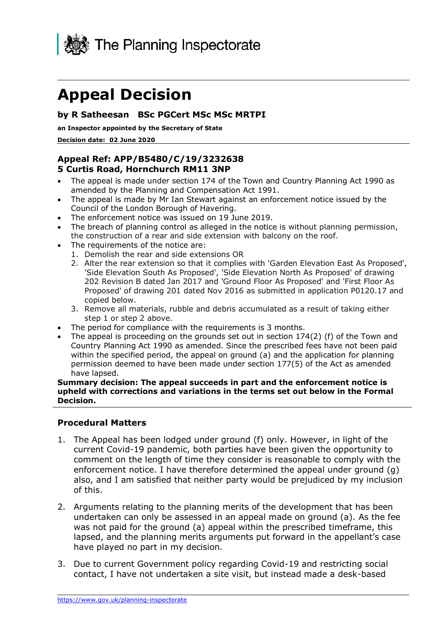

# **Appeal Decision**

#### **by R Satheesan BSc PGCert MSc MSc MRTPI**

**an Inspector appointed by the Secretary of State** 

 **Decision date: 02 June 2020** 

#### **Appeal Ref: APP/B5480/C/19/3232638 5 Curtis Road, Hornchurch RM11 3NP**

- • The appeal is made under section 174 of the Town and Country Planning Act 1990 as amended by the Planning and Compensation Act 1991.
- • The appeal is made by Mr Ian Stewart against an enforcement notice issued by the Council of the London Borough of Havering.
- The enforcement notice was issued on 19 June 2019.
- • The breach of planning control as alleged in the notice is without planning permission, the construction of a rear and side extension with balcony on the roof.
- • The requirements of the notice are:
	- 1. Demolish the rear and side extensions OR
	- 2. Alter the rear extension so that it complies with 'Garden Elevation East As Proposed', 'Side Elevation South As Proposed', 'Side Elevation North As Proposed' of drawing 202 Revision B dated Jan 2017 and 'Ground Floor As Proposed' and 'First Floor As Proposed' of drawing 201 dated Nov 2016 as submitted in application P0120.17 and copied below.
	- 3. Remove all materials, rubble and debris accumulated as a result of taking either step 1 or step 2 above.
- The period for compliance with the requirements is 3 months.
- The appeal is proceeding on the grounds set out in section 174(2) (f) of the Town and Country Planning Act 1990 as amended. Since the prescribed fees have not been paid within the specified period, the appeal on ground (a) and the application for planning permission deemed to have been made under section 177(5) of the Act as amended have lapsed.

 **Summary decision: The appeal succeeds in part and the enforcement notice is upheld with corrections and variations in the terms set out below in the Formal Decision.** 

#### **Procedural Matters**

- 1. The Appeal has been lodged under ground (f) only. However, in light of the current Covid-19 pandemic, both parties have been given the opportunity to comment on the length of time they consider is reasonable to comply with the enforcement notice. I have therefore determined the appeal under ground (g) also, and I am satisfied that neither party would be prejudiced by my inclusion of this.
- 2. Arguments relating to the planning merits of the development that has been undertaken can only be assessed in an appeal made on ground (a). As the fee was not paid for the ground (a) appeal within the prescribed timeframe, this lapsed, and the planning merits arguments put forward in the appellant's case have played no part in my decision.
- 3. Due to current Government policy regarding Covid-19 and restricting social contact, I have not undertaken a site visit, but instead made a desk-based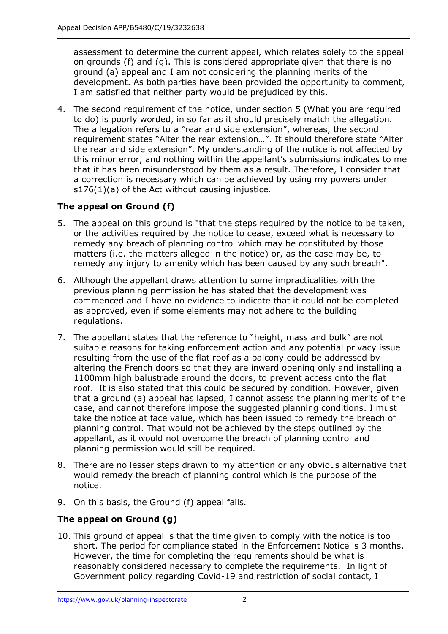assessment to determine the current appeal, which relates solely to the appeal ground (a) appeal and I am not considering the planning merits of the development. As both parties have been provided the opportunity to comment, I am satisfied that neither party would be prejudiced by this. on grounds (f) and (g). This is considered appropriate given that there is no

 4. The second requirement of the notice, under section 5 (What you are required to do) is poorly worded, in so far as it should precisely match the allegation. The allegation refers to a "rear and side extension", whereas, the second requirement states "Alter the rear extension…". It should therefore state "Alter the rear and side extension". My understanding of the notice is not affected by this minor error, and nothing within the appellant's submissions indicates to me that it has been misunderstood by them as a result. Therefore, I consider that a correction is necessary which can be achieved by using my powers under s176(1)(a) of the Act without causing injustice.

# **The appeal on Ground (f)**

- 5. The appeal on this ground is "that the steps required by the notice to be taken, or the activities required by the notice to cease, exceed what is necessary to remedy any breach of planning control which may be constituted by those matters (i.e. the matters alleged in the notice) or, as the case may be, to remedy any injury to amenity which has been caused by any such breach".
- previous planning permission he has stated that the development was commenced and I have no evidence to indicate that it could not be completed as approved, even if some elements may not adhere to the building 6. Although the appellant draws attention to some impracticalities with the regulations.
- 7. The appellant states that the reference to "height, mass and bulk" are not suitable reasons for taking enforcement action and any potential privacy issue resulting from the use of the flat roof as a balcony could be addressed by altering the French doors so that they are inward opening only and installing a 1100mm high balustrade around the doors, to prevent access onto the flat roof. It is also stated that this could be secured by condition. However, given that a ground (a) appeal has lapsed, I cannot assess the planning merits of the case, and cannot therefore impose the suggested planning conditions. I must take the notice at face value, which has been issued to remedy the breach of planning control. That would not be achieved by the steps outlined by the appellant, as it would not overcome the breach of planning control and planning permission would still be required.
- 8. There are no lesser steps drawn to my attention or any obvious alternative that would remedy the breach of planning control which is the purpose of the notice.
- 9. On this basis, the Ground (f) appeal fails.

## **The appeal on Ground (g)**

 10. This ground of appeal is that the time given to comply with the notice is too short. The period for compliance stated in the Enforcement Notice is 3 months. However, the time for completing the requirements should be what is reasonably considered necessary to complete the requirements. In light of Government policy regarding Covid-19 and restriction of social contact, I